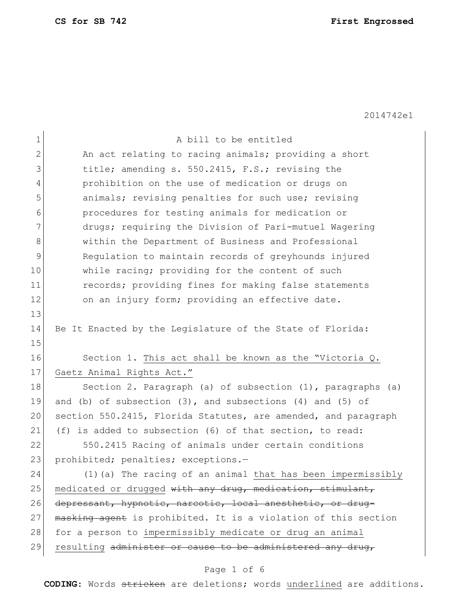**CS for SB 742 First Engrossed**

2014742e1

| $\mathbf 1$ | A bill to be entitled                                            |
|-------------|------------------------------------------------------------------|
| 2           | An act relating to racing animals; providing a short             |
| 3           | title; amending s. 550.2415, F.S.; revising the                  |
| 4           | prohibition on the use of medication or drugs on                 |
| 5           | animals; revising penalties for such use; revising               |
| 6           | procedures for testing animals for medication or                 |
| 7           | drugs; requiring the Division of Pari-mutuel Wagering            |
| 8           | within the Department of Business and Professional               |
| 9           | Regulation to maintain records of greyhounds injured             |
| 10          | while racing; providing for the content of such                  |
| 11          | records; providing fines for making false statements             |
| 12          | on an injury form; providing an effective date.                  |
| 13          |                                                                  |
| 14          | Be It Enacted by the Legislature of the State of Florida:        |
| 15          |                                                                  |
| 16          | Section 1. This act shall be known as the "Victoria Q.           |
| 17          | Gaetz Animal Rights Act."                                        |
| 18          | Section 2. Paragraph (a) of subsection (1), paragraphs (a)       |
| 19          | and (b) of subsection $(3)$ , and subsections $(4)$ and $(5)$ of |
| 20          | section 550.2415, Florida Statutes, are amended, and paragraph   |
| 21          | (f) is added to subsection (6) of that section, to read:         |
| 22          | 550.2415 Racing of animals under certain conditions              |
| 23          | prohibited; penalties; exceptions.-                              |
| 24          | (1) (a) The racing of an animal that has been impermissibly      |
| 25          | medicated or drugged with any drug, medication, stimulant,       |
| 26          | depressant, hypnotic, narcotic, local anesthetic, or drug-       |
| 27          | masking agent is prohibited. It is a violation of this section   |
|             |                                                                  |
| 28          | for a person to impermissibly medicate or drug an animal         |
| 29          | resulting administer or cause to be administered any drug,       |

# Page 1 of 6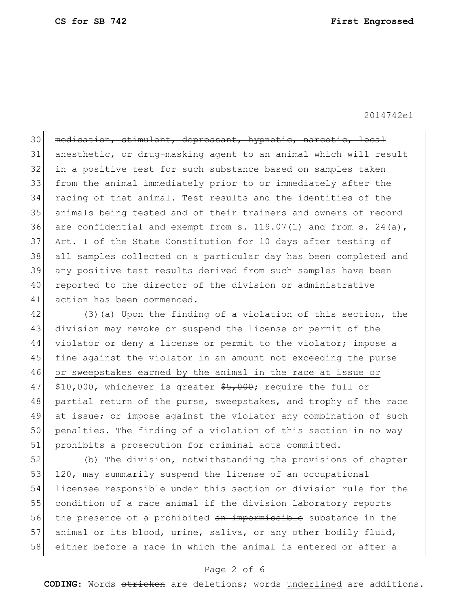2014742e1

30 medication, stimulant, depressant, hypnotic, narcotic, local 31 anesthetic, or drug-masking agent to an animal which will result 32 in a positive test for such substance based on samples taken 33 from the animal inmediately prior to or immediately after the 34 racing of that animal. Test results and the identities of the 35 animals being tested and of their trainers and owners of record 36 are confidential and exempt from  $s. 119.07(1)$  and from  $s. 24(a)$ , 37 Art. I of the State Constitution for 10 days after testing of 38 all samples collected on a particular day has been completed and 39 any positive test results derived from such samples have been 40 reported to the director of the division or administrative 41 action has been commenced.

42 (3)(a) Upon the finding of a violation of this section, the 43 division may revoke or suspend the license or permit of the 44 violator or deny a license or permit to the violator; impose a 45 fine against the violator in an amount not exceeding the purse 46 or sweepstakes earned by the animal in the race at issue or 47  $$10,000$ , whichever is greater  $$5,000$ ; require the full or 48 partial return of the purse, sweepstakes, and trophy of the race 49 at issue; or impose against the violator any combination of such 50 penalties. The finding of a violation of this section in no way 51 prohibits a prosecution for criminal acts committed.

52 (b) The division, notwithstanding the provisions of chapter 53 120, may summarily suspend the license of an occupational 54 licensee responsible under this section or division rule for the 55 condition of a race animal if the division laboratory reports 56 the presence of a prohibited an impermissible substance in the 57 animal or its blood, urine, saliva, or any other bodily fluid, 58 either before a race in which the animal is entered or after a

## Page 2 of 6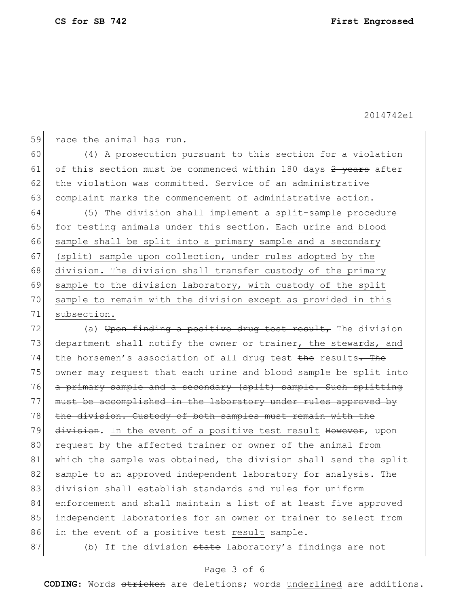2014742e1

59 race the animal has run.

60 (4) A prosecution pursuant to this section for a violation 61 of this section must be commenced within 180 days  $2$  years after 62 the violation was committed. Service of an administrative 63 complaint marks the commencement of administrative action.

64 (5) The division shall implement a split-sample procedure 65 for testing animals under this section. Each urine and blood 66 sample shall be split into a primary sample and a secondary 67 (split) sample upon collection, under rules adopted by the 68 division. The division shall transfer custody of the primary 69 sample to the division laboratory, with custody of the split 70 sample to remain with the division except as provided in this 71 subsection.

72  $($ a) Upon finding a positive drug test result, The division 73 department shall notify the owner or trainer, the stewards, and 74 the horsemen's association of all drug test the results. The 75 owner may request that each urine and blood sample be split into 76 a primary sample and a secondary (split) sample. Such splitting 77 must be accomplished in the laboratory under rules approved by 78 the division. Custody of both samples must remain with the 79 division. In the event of a positive test result However, upon 80 request by the affected trainer or owner of the animal from 81 which the sample was obtained, the division shall send the split 82 sample to an approved independent laboratory for analysis. The 83 division shall establish standards and rules for uniform 84 enforcement and shall maintain a list of at least five approved 85 independent laboratories for an owner or trainer to select from 86 in the event of a positive test result sample.

87 (b) If the division state laboratory's findings are not

## Page 3 of 6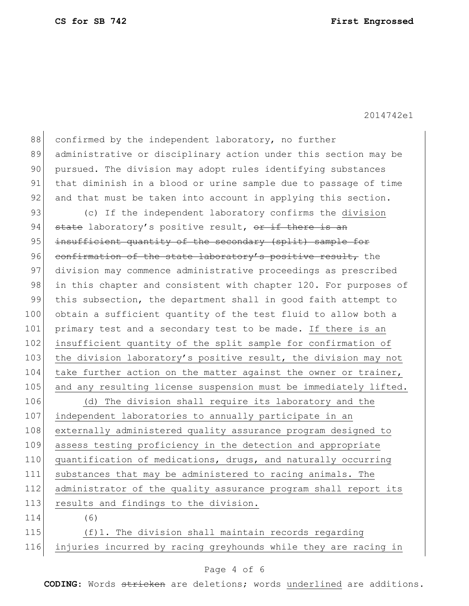**CS for SB 742 First Engrossed**

2014742e1

88 confirmed by the independent laboratory, no further 89 administrative or disciplinary action under this section may be 90 pursued. The division may adopt rules identifying substances 91 that diminish in a blood or urine sample due to passage of time 92 and that must be taken into account in applying this section. 93 (c) If the independent laboratory confirms the division 94 state laboratory's positive result, or if there is an 95 insufficient quantity of the secondary (split) sample for 96 confirmation of the state laboratory's positive result, the 97 division may commence administrative proceedings as prescribed 98 in this chapter and consistent with chapter 120. For purposes of 99 this subsection, the department shall in good faith attempt to 100 obtain a sufficient quantity of the test fluid to allow both a 101 primary test and a secondary test to be made. If there is an 102 insufficient quantity of the split sample for confirmation of 103 the division laboratory's positive result, the division may not 104 take further action on the matter against the owner or trainer, 105 and any resulting license suspension must be immediately lifted. 106 (d) The division shall require its laboratory and the 107 independent laboratories to annually participate in an 108 externally administered quality assurance program designed to 109 assess testing proficiency in the detection and appropriate 110 quantification of medications, drugs, and naturally occurring 111 substances that may be administered to racing animals. The 112 administrator of the quality assurance program shall report its 113 results and findings to the division. 114 (6) 115 (f)1. The division shall maintain records regarding 116 injuries incurred by racing greyhounds while they are racing in

### Page 4 of 6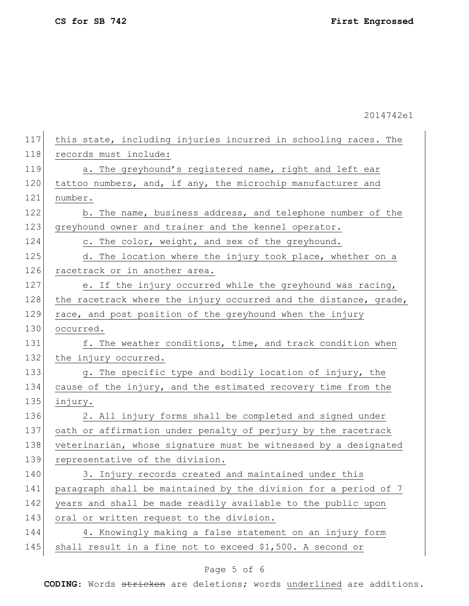**CS for SB 742 First Engrossed**

2014742e1

| this state, including injuries incurred in schooling races. The  |
|------------------------------------------------------------------|
| records must include:                                            |
| a. The greyhound's registered name, right and left ear           |
| tattoo numbers, and, if any, the microchip manufacturer and      |
| number.                                                          |
| b. The name, business address, and telephone number of the       |
| greyhound owner and trainer and the kennel operator.             |
| c. The color, weight, and sex of the greyhound.                  |
| d. The location where the injury took place, whether on a        |
| racetrack or in another area.                                    |
| e. If the injury occurred while the greyhound was racing,        |
| the racetrack where the injury occurred and the distance, grade, |
| race, and post position of the greyhound when the injury         |
| occurred.                                                        |
| f. The weather conditions, time, and track condition when        |
| the injury occurred.                                             |
| g. The specific type and bodily location of injury, the          |
| cause of the injury, and the estimated recovery time from the    |
| injury.                                                          |
| 2. All injury forms shall be completed and signed under          |
| oath or affirmation under penalty of perjury by the racetrack    |
| veterinarian, whose signature must be witnessed by a designated  |
| representative of the division.                                  |
| 3. Injury records created and maintained under this              |
| paragraph shall be maintained by the division for a period of 7  |
| years and shall be made readily available to the public upon     |
| oral or written request to the division.                         |
| 4. Knowingly making a false statement on an injury form          |
| shall result in a fine not to exceed \$1,500. A second or        |
|                                                                  |

# Page 5 of 6